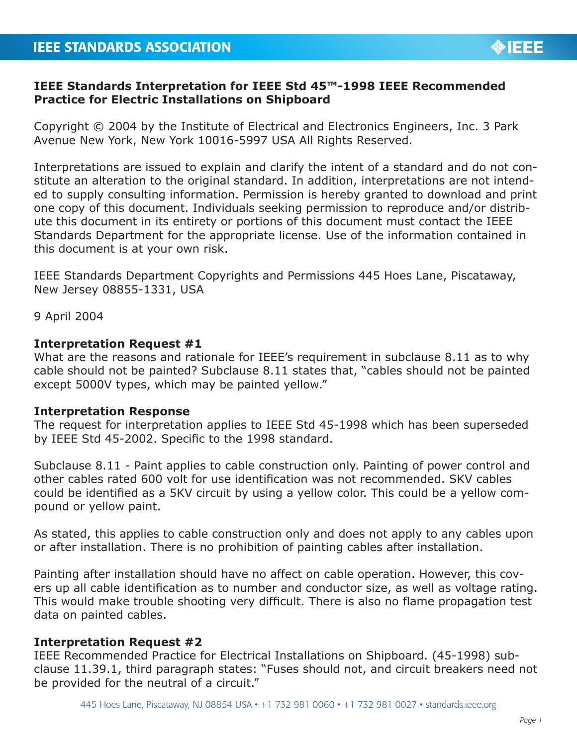

# **IEEE Standards Interpretation for IEEE Std 45™-1998 IEEE Recommended Practice for Electric Installations on Shipboard**

Copyright © 2004 by the Institute of Electrical and Electronics Engineers, Inc. 3 Park Avenue New York, New York 10016-5997 USA All Rights Reserved.

Interpretations are issued to explain and clarify the intent of a standard and do not constitute an alteration to the original standard. In addition, interpretations are not intended to supply consulting information. Permission is hereby granted to download and print one copy of this document. Individuals seeking permission to reproduce and/or distribute this document in its entirety or portions of this document must contact the IEEE Standards Department for the appropriate license. Use of the information contained in this document is at your own risk.

IEEE Standards Department Copyrights and Permissions 445 Hoes Lane, Piscataway, New Jersey 08855-1331, USA

9 April 2004

## **Interpretation Request #1**

What are the reasons and rationale for IEEE's requirement in subclause 8.11 as to why cable should not be painted? Subclause 8.11 states that, "cables should not be painted except 5000V types, which may be painted yellow."

## **Interpretation Response**

The request for interpretation applies to IEEE Std 45-1998 which has been superseded by IEEE Std 45-2002. Specific to the 1998 standard.

Subclause 8.11 - Paint applies to cable construction only. Painting of power control and other cables rated 600 volt for use identification was not recommended. SKV cables could be identified as a 5KV circuit by using a yellow color. This could be a yellow compound or yellow paint.

As stated, this applies to cable construction only and does not apply to any cables upon or after installation. There is no prohibition of painting cables after installation.

Painting after installation should have no affect on cable operation. However, this covers up all cable identification as to number and conductor size, as well as voltage rating. This would make trouble shooting very difficult. There is also no flame propagation test data on painted cables.

## **Interpretation Request #2**

IEEE Recommended Practice for Electrical Installations on Shipboard. (45-1998) subclause 11.39.1, third paragraph states: "Fuses should not, and circuit breakers need not be provided for the neutral of a circuit."